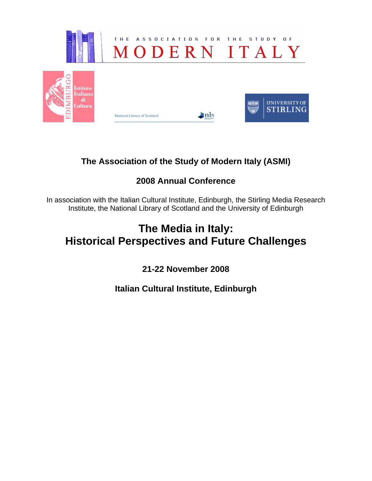

# **The Association of the Study of Modern Italy (ASMI)**

# **2008 Annual Conference**

In association with the Italian Cultural Institute, Edinburgh, the Stirling Media Research Institute, the National Library of Scotland and the University of Edinburgh

# **The Media in Italy: Historical Perspectives and Future Challenges**

**21-22 November 2008** 

**Italian Cultural Institute, Edinburgh**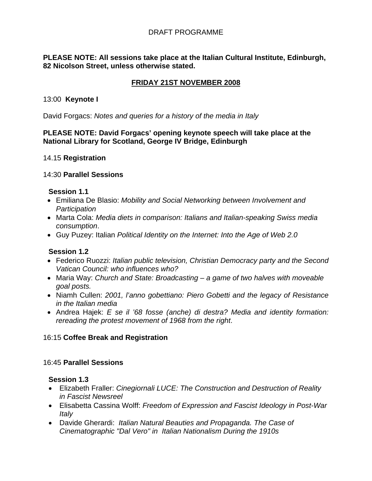## DRAFT PROGRAMME

#### **PLEASE NOTE: All sessions take place at the Italian Cultural Institute, Edinburgh, 82 Nicolson Street, unless otherwise stated.**

# **FRIDAY 21ST NOVEMBER 2008**

#### 13:00 **Keynote I**

David Forgacs: *Notes and queries for a history of the media in Italy*

#### **PLEASE NOTE: David Forgacs' opening keynote speech will take place at the National Library for Scotland, George IV Bridge, Edinburgh**

#### 14.15 **Registration**

#### 14:30 **Parallel Sessions**

#### **Session 1.1**

- Emiliana De Blasio: *Mobility and Social Networking between Involvement and Participation*
- Marta Cola: *Media diets in comparison: Italians and Italian-speaking Swiss media consumption*.
- Guy Puzey: Italian *Political Identity on the Internet: Into the Age of Web 2.0*

#### **Session 1.2**

- Federico Ruozzi: *Italian public television, Christian Democracy party and the Second Vatican Council: who influences who?*
- Maria Way: *Church and State: Broadcasting a game of two halves with moveable goal posts.*
- Niamh Cullen: *2001, l'anno gobettiano: Piero Gobetti and the legacy of Resistance in the Italian media*
- Andrea Hajek: *E se il '68 fosse (anche) di destra? Media and identity formation: rereading the protest movement of 1968 from the right*.

#### 16:15 **Coffee Break and Registration**

### 16:45 **Parallel Sessions**

#### **Session 1.3**

- Elizabeth Fraller: *Cinegiornali LUCE: The Construction and Destruction of Reality in Fascist Newsreel*
- Elisabetta Cassina Wolff: *Freedom of Expression and Fascist Ideology in Post-War Italy*
- Davide Gherardi: *Italian Natural Beauties and Propaganda. The Case of Cinematographic "Dal Vero" in Italian Nationalism During the 1910s*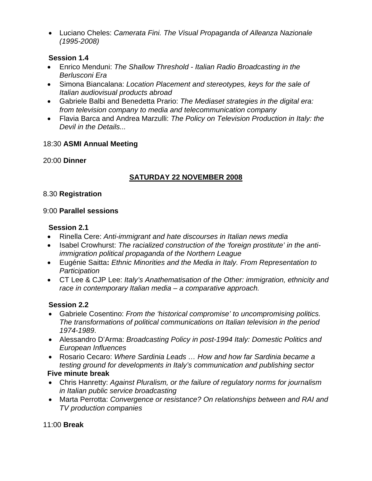• Luciano Cheles: *Camerata Fini. The Visual Propaganda of Alleanza Nazionale (1995-2008)* 

# **Session 1.4**

- Enrico Menduni: *The Shallow Threshold Italian Radio Broadcasting in the Berlusconi Era*
- Simona Biancalana: *Location Placement and stereotypes, keys for the sale of Italian audiovisual products abroad*
- Gabriele Balbi and Benedetta Prario: *The Mediaset strategies in the digital era: from television company to media and telecommunication company*
- Flavia Barca and Andrea Marzulli: *The Policy on Television Production in Italy: the Devil in the Details...*

# 18:30 **ASMI Annual Meeting**

# 20:00 **Dinner**

# **SATURDAY 22 NOVEMBER 2008**

## 8.30 **Registration**

## 9:00 **Parallel sessions**

## **Session 2.1**

- Rinella Cere: *Anti-immigrant and hate discourses in Italian news media*
- Isabel Crowhurst: *The racialized construction of the 'foreign prostitute' in the antiimmigration political propaganda of the Northern League*
- Eugénie Saitta**:** *Ethnic Minorities and the Media in Italy. From Representation to Participation*
- CT Lee & CJP Lee: *Italy's Anathematisation of the Other: immigration, ethnicity and race in contemporary Italian media – a comparative approach.*

# **Session 2.2**

- Gabriele Cosentino: *From the 'historical compromise' to uncompromising politics. The transformations of political communications on Italian television in the period 1974-1989*.
- Alessandro D'Arma: *Broadcasting Policy in post-1994 Italy: Domestic Politics and European Influences*
- Rosario Cecaro: *Where Sardinia Leads … How and how far Sardinia became a testing ground for developments in Italy's communication and publishing sector*

# **Five minute break**

- Chris Hanretty: *Against Pluralism, or the failure of regulatory norms for journalism in Italian public service broadcasting*
- Marta Perrotta: *Convergence or resistance? On relationships between and RAI and TV production companies*

#### 11:00 **Break**